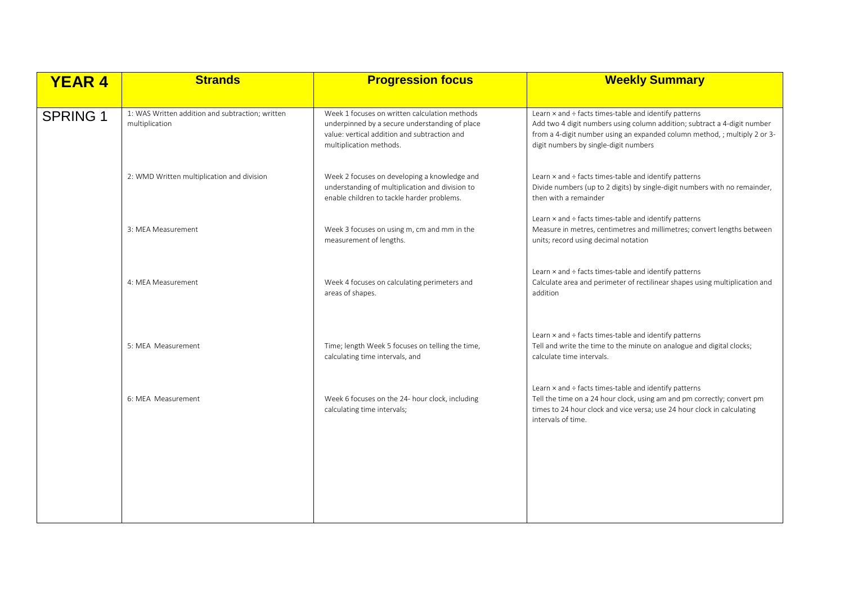| <b>YEAR 4</b>   | <b>Strands</b>                                                     | <b>Progression focus</b>                                                                                                                                                   | <b>Weekly Summary</b>                                                                                                                                                                                                                                   |
|-----------------|--------------------------------------------------------------------|----------------------------------------------------------------------------------------------------------------------------------------------------------------------------|---------------------------------------------------------------------------------------------------------------------------------------------------------------------------------------------------------------------------------------------------------|
| <b>SPRING 1</b> | 1: WAS Written addition and subtraction; written<br>multiplication | Week 1 focuses on written calculation methods<br>underpinned by a secure understanding of place<br>value: vertical addition and subtraction and<br>multiplication methods. | Learn x and ÷ facts times-table and identify patterns<br>Add two 4 digit numbers using column addition; subtract a 4-digit number<br>from a 4-digit number using an expanded column method, ; multiply 2 or 3-<br>digit numbers by single-digit numbers |
|                 | 2: WMD Written multiplication and division                         | Week 2 focuses on developing a knowledge and<br>understanding of multiplication and division to<br>enable children to tackle harder problems.                              | Learn x and ÷ facts times-table and identify patterns<br>Divide numbers (up to 2 digits) by single-digit numbers with no remainder,<br>then with a remainder                                                                                            |
|                 | 3: MEA Measurement                                                 | Week 3 focuses on using m, cm and mm in the<br>measurement of lengths.                                                                                                     | Learn x and ÷ facts times-table and identify patterns<br>Measure in metres, centimetres and millimetres; convert lengths between<br>units; record using decimal notation                                                                                |
|                 | 4: MEA Measurement                                                 | Week 4 focuses on calculating perimeters and<br>areas of shapes.                                                                                                           | Learn x and ÷ facts times-table and identify patterns<br>Calculate area and perimeter of rectilinear shapes using multiplication and<br>addition                                                                                                        |
|                 | 5: MEA Measurement                                                 | Time; length Week 5 focuses on telling the time,<br>calculating time intervals, and                                                                                        | Learn x and ÷ facts times-table and identify patterns<br>Tell and write the time to the minute on analogue and digital clocks;<br>calculate time intervals.                                                                                             |
|                 | 6: MEA Measurement                                                 | Week 6 focuses on the 24- hour clock, including<br>calculating time intervals;                                                                                             | Learn x and ÷ facts times-table and identify patterns<br>Tell the time on a 24 hour clock, using am and pm correctly; convert pm<br>times to 24 hour clock and vice versa; use 24 hour clock in calculating<br>intervals of time.                       |
|                 |                                                                    |                                                                                                                                                                            |                                                                                                                                                                                                                                                         |
|                 |                                                                    |                                                                                                                                                                            |                                                                                                                                                                                                                                                         |